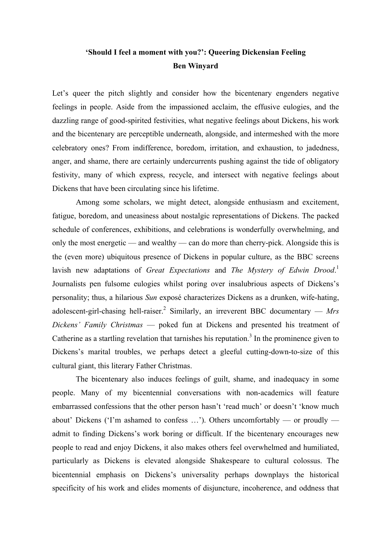## **'Should I feel a moment with you?': Queering Dickensian Feeling Ben Winyard**

Let's queer the pitch slightly and consider how the bicentenary engenders negative feelings in people. Aside from the impassioned acclaim, the effusive eulogies, and the dazzling range of good-spirited festivities, what negative feelings about Dickens, his work and the bicentenary are perceptible underneath, alongside, and intermeshed with the more celebratory ones? From indifference, boredom, irritation, and exhaustion, to jadedness, anger, and shame, there are certainly undercurrents pushing against the tide of obligatory festivity, many of which express, recycle, and intersect with negative feelings about Dickens that have been circulating since his lifetime.

Among some scholars, we might detect, alongside enthusiasm and excitement, fatigue, boredom, and uneasiness about nostalgic representations of Dickens. The packed schedule of conferences, exhibitions, and celebrations is wonderfully overwhelming, and only the most energetic — and wealthy — can do more than cherry-pick. Alongside this is the (even more) ubiquitous presence of Dickens in popular culture, as the BBC screens lavish new adaptations of *Great Expectations* and *The Mystery of Edwin Drood*. 1 Journalists pen fulsome eulogies whilst poring over insalubrious aspects of Dickens's personality; thus, a hilarious *Sun* exposé characterizes Dickens as a drunken, wife-hating, adolescent-girl-chasing hell-raiser.<sup>2</sup> Similarly, an irreverent BBC documentary  $-Mrs$ *Dickens' Family Christmas* — poked fun at Dickens and presented his treatment of Catherine as a startling revelation that tarnishes his reputation.<sup>3</sup> In the prominence given to Dickens's marital troubles, we perhaps detect a gleeful cutting-down-to-size of this cultural giant, this literary Father Christmas.

The bicentenary also induces feelings of guilt, shame, and inadequacy in some people. Many of my bicentennial conversations with non-academics will feature embarrassed confessions that the other person hasn't 'read much' or doesn't 'know much about' Dickens ('I'm ashamed to confess …'). Others uncomfortably — or proudly admit to finding Dickens's work boring or difficult. If the bicentenary encourages new people to read and enjoy Dickens, it also makes others feel overwhelmed and humiliated, particularly as Dickens is elevated alongside Shakespeare to cultural colossus. The bicentennial emphasis on Dickens's universality perhaps downplays the historical specificity of his work and elides moments of disjuncture, incoherence, and oddness that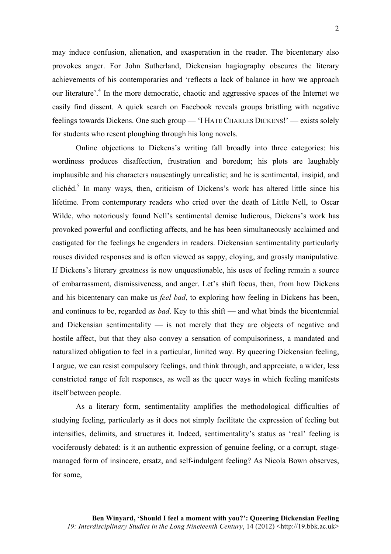may induce confusion, alienation, and exasperation in the reader. The bicentenary also provokes anger. For John Sutherland, Dickensian hagiography obscures the literary achievements of his contemporaries and 'reflects a lack of balance in how we approach our literature<sup>'.4</sup> In the more democratic, chaotic and aggressive spaces of the Internet we easily find dissent. A quick search on Facebook reveals groups bristling with negative feelings towards Dickens. One such group — 'I HATE CHARLES DICKENS!' — exists solely for students who resent ploughing through his long novels.

Online objections to Dickens's writing fall broadly into three categories: his wordiness produces disaffection, frustration and boredom; his plots are laughably implausible and his characters nauseatingly unrealistic; and he is sentimental, insipid, and clichéd.<sup>5</sup> In many ways, then, criticism of Dickens's work has altered little since his lifetime. From contemporary readers who cried over the death of Little Nell, to Oscar Wilde, who notoriously found Nell's sentimental demise ludicrous, Dickens's work has provoked powerful and conflicting affects, and he has been simultaneously acclaimed and castigated for the feelings he engenders in readers. Dickensian sentimentality particularly rouses divided responses and is often viewed as sappy, cloying, and grossly manipulative. If Dickens's literary greatness is now unquestionable, his uses of feeling remain a source of embarrassment, dismissiveness, and anger. Let's shift focus, then, from how Dickens and his bicentenary can make us *feel bad*, to exploring how feeling in Dickens has been, and continues to be, regarded *as bad*. Key to this shift — and what binds the bicentennial and Dickensian sentimentality — is not merely that they are objects of negative and hostile affect, but that they also convey a sensation of compulsoriness, a mandated and naturalized obligation to feel in a particular, limited way. By queering Dickensian feeling, I argue, we can resist compulsory feelings, and think through, and appreciate, a wider, less constricted range of felt responses, as well as the queer ways in which feeling manifests itself between people.

As a literary form, sentimentality amplifies the methodological difficulties of studying feeling, particularly as it does not simply facilitate the expression of feeling but intensifies, delimits, and structures it. Indeed, sentimentality's status as 'real' feeling is vociferously debated: is it an authentic expression of genuine feeling, or a corrupt, stagemanaged form of insincere, ersatz, and self-indulgent feeling? As Nicola Bown observes, for some,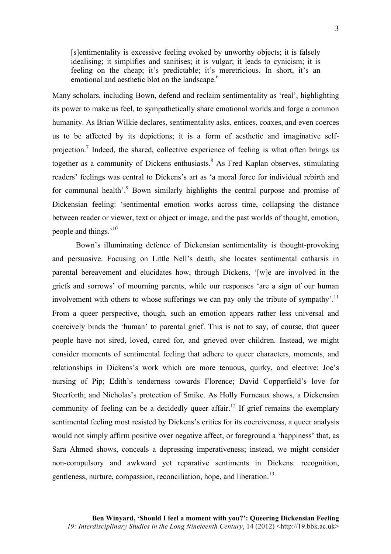[s]entimentality is excessive feeling evoked by unworthy objects; it is falsely idealising; it simplifies and sanitises; it is vulgar; it leads to cynicism; it is feeling on the cheap; it's predictable; it's meretricious. In short, it's an emotional and aesthetic blot on the landscape.<sup>6</sup>

Many scholars, including Bown, defend and reclaim sentimentality as 'real', highlighting its power to make us feel, to sympathetically share emotional worlds and forge a common humanity. As Brian Wilkie declares, sentimentality asks, entices, coaxes, and even coerces us to be affected by its depictions; it is a form of aesthetic and imaginative selfprojection.<sup>7</sup> Indeed, the shared, collective experience of feeling is what often brings us together as a community of Dickens enthusiasts. <sup>8</sup> As Fred Kaplan observes, stimulating readers' feelings was central to Dickens's art as 'a moral force for individual rebirth and for communal health'.<sup>9</sup> Bown similarly highlights the central purpose and promise of Dickensian feeling: 'sentimental emotion works across time, collapsing the distance between reader or viewer, text or object or image, and the past worlds of thought, emotion, people and things.'<sup>10</sup>

Bown's illuminating defence of Dickensian sentimentality is thought-provoking and persuasive. Focusing on Little Nell's death, she locates sentimental catharsis in parental bereavement and elucidates how, through Dickens, '[w]e are involved in the griefs and sorrows' of mourning parents, while our responses 'are a sign of our human involvement with others to whose sufferings we can pay only the tribute of sympathy'.<sup>11</sup> From a queer perspective, though, such an emotion appears rather less universal and coercively binds the 'human' to parental grief. This is not to say, of course, that queer people have not sired, loved, cared for, and grieved over children. Instead, we might consider moments of sentimental feeling that adhere to queer characters, moments, and relationships in Dickens's work which are more tenuous, quirky, and elective: Joe's nursing of Pip; Edith's tenderness towards Florence; David Copperfield's love for Steerforth; and Nicholas's protection of Smike. As Holly Furneaux shows, a Dickensian community of feeling can be a decidedly queer affair.<sup>12</sup> If grief remains the exemplary sentimental feeling most resisted by Dickens's critics for its coerciveness, a queer analysis would not simply affirm positive over negative affect, or foreground a 'happiness' that, as Sara Ahmed shows, conceals a depressing imperativeness; instead, we might consider non-compulsory and awkward yet reparative sentiments in Dickens: recognition, gentleness, nurture, compassion, reconciliation, hope, and liberation.<sup>13</sup>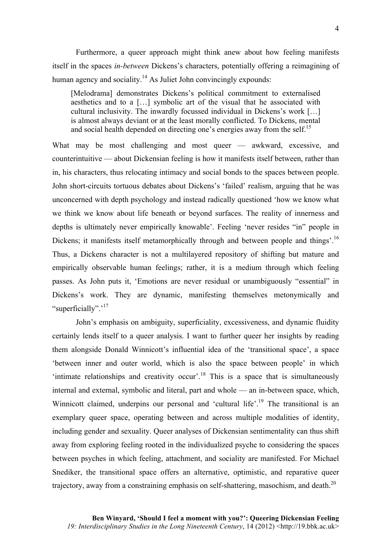Furthermore, a queer approach might think anew about how feeling manifests itself in the spaces *in-between* Dickens's characters, potentially offering a reimagining of human agency and sociality.<sup>14</sup> As Juliet John convincingly expounds:

[Melodrama] demonstrates Dickens's political commitment to externalised aesthetics and to a […] symbolic art of the visual that he associated with cultural inclusivity. The inwardly focussed individual in Dickens's work […] is almost always deviant or at the least morally conflicted. To Dickens, mental and social health depended on directing one's energies away from the self.<sup>15</sup>

What may be most challenging and most queer — awkward, excessive, and counterintuitive — about Dickensian feeling is how it manifests itself between, rather than in, his characters, thus relocating intimacy and social bonds to the spaces between people. John short-circuits tortuous debates about Dickens's 'failed' realism, arguing that he was unconcerned with depth psychology and instead radically questioned 'how we know what we think we know about life beneath or beyond surfaces. The reality of innerness and depths is ultimately never empirically knowable'. Feeling 'never resides "in" people in Dickens; it manifests itself metamorphically through and between people and things'.<sup>16</sup> Thus, a Dickens character is not a multilayered repository of shifting but mature and empirically observable human feelings; rather, it is a medium through which feeling passes. As John puts it, 'Emotions are never residual or unambiguously "essential" in Dickens's work. They are dynamic, manifesting themselves metonymically and "superficially".<sup>17</sup>

John's emphasis on ambiguity, superficiality, excessiveness, and dynamic fluidity certainly lends itself to a queer analysis. I want to further queer her insights by reading them alongside Donald Winnicott's influential idea of the 'transitional space', a space 'between inner and outer world, which is also the space between people' in which intimate relationships and creativity occur<sup>'.18</sup> This is a space that is simultaneously internal and external, symbolic and literal, part and whole — an in-between space, which, Winnicott claimed, underpins our personal and 'cultural life'.<sup>19</sup> The transitional is an exemplary queer space, operating between and across multiple modalities of identity, including gender and sexuality. Queer analyses of Dickensian sentimentality can thus shift away from exploring feeling rooted in the individualized psyche to considering the spaces between psyches in which feeling, attachment, and sociality are manifested. For Michael Snediker, the transitional space offers an alternative, optimistic, and reparative queer trajectory, away from a constraining emphasis on self-shattering, masochism, and death.<sup>20</sup>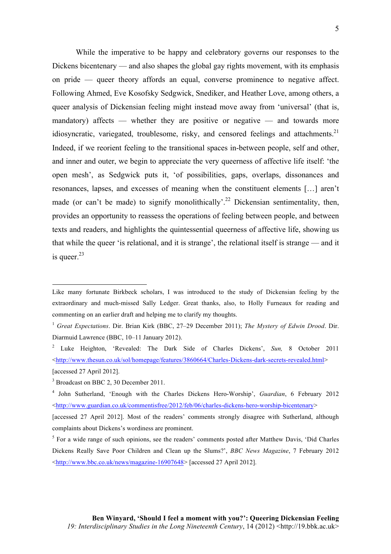While the imperative to be happy and celebratory governs our responses to the Dickens bicentenary — and also shapes the global gay rights movement, with its emphasis on pride — queer theory affords an equal, converse prominence to negative affect. Following Ahmed, Eve Kosofsky Sedgwick, Snediker, and Heather Love, among others, a queer analysis of Dickensian feeling might instead move away from 'universal' (that is, mandatory) affects — whether they are positive or negative — and towards more idiosyncratic, variegated, troublesome, risky, and censored feelings and attachments. $21$ Indeed, if we reorient feeling to the transitional spaces in-between people, self and other, and inner and outer, we begin to appreciate the very queerness of affective life itself: 'the open mesh', as Sedgwick puts it, 'of possibilities, gaps, overlaps, dissonances and resonances, lapses, and excesses of meaning when the constituent elements […] aren't made (or can't be made) to signify monolithically'.<sup>22</sup> Dickensian sentimentality, then, provides an opportunity to reassess the operations of feeling between people, and between texts and readers, and highlights the quintessential queerness of affective life, showing us that while the queer 'is relational, and it is strange', the relational itself is strange — and it is queer. $^{23}$ 

<u> 1989 - Johann Stein, marwolaethau a bh</u>

Like many fortunate Birkbeck scholars, I was introduced to the study of Dickensian feeling by the extraordinary and much-missed Sally Ledger. Great thanks, also, to Holly Furneaux for reading and commenting on an earlier draft and helping me to clarify my thoughts.

<sup>1</sup> *Great Expectations*. Dir. Brian Kirk (BBC, 27–29 December 2011); *The Mystery of Edwin Drood*. Dir. Diarmuid Lawrence (BBC, 10–11 January 2012).

<sup>2</sup> Luke Heighton, 'Revealed: The Dark Side of Charles Dickens', *Sun,* 8 October 2011 <http://www.thesun.co.uk/sol/homepage/features/3860664/Charles-Dickens-dark-secrets-revealed.html> [accessed 27 April 2012].

<sup>&</sup>lt;sup>3</sup> Broadcast on BBC 2, 30 December 2011.

<sup>4</sup> John Sutherland, 'Enough with the Charles Dickens Hero-Worship', *Guardian*, 6 February 2012 <http://www.guardian.co.uk/commentisfree/2012/feb/06/charles-dickens-hero-worship-bicentenary>

<sup>[</sup>accessed 27 April 2012]. Most of the readers' comments strongly disagree with Sutherland, although complaints about Dickens's wordiness are prominent.

 $<sup>5</sup>$  For a wide range of such opinions, see the readers' comments posted after Matthew Davis, 'Did Charles'</sup> Dickens Really Save Poor Children and Clean up the Slums?', *BBC News Magazine*, 7 February 2012 <http://www.bbc.co.uk/news/magazine-16907648> [accessed 27 April 2012].